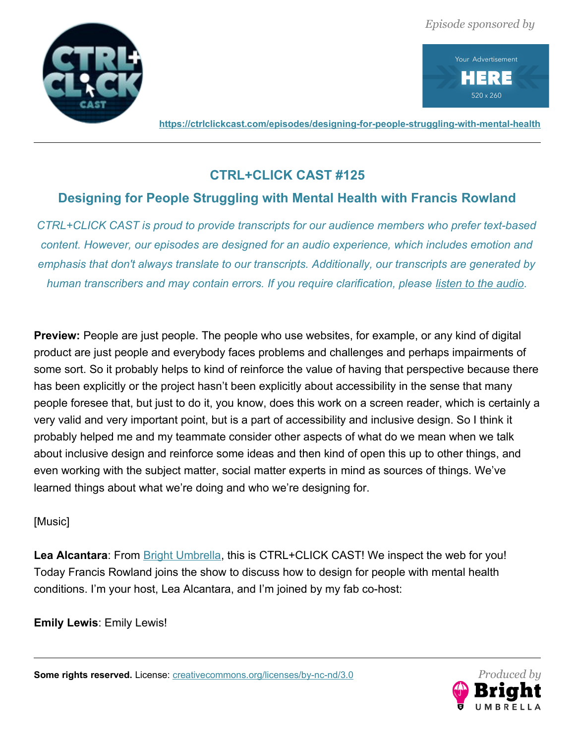



**<https://ctrlclickcast.com/episodes/designing-for-people-struggling-with-mental-health>**

# **CTRL+CLICK CAST #125**

# **Designing for People Struggling with Mental Health with Francis Rowland**

*CTRL+CLICK CAST is proud to provide transcripts for our audience members who prefer text-based content. However, our episodes are designed for an audio experience, which includes emotion and emphasis that don't always translate to our transcripts. Additionally, our transcripts are generated by human transcribers and may contain errors. If you require clarification, please [listen to the audio.](https://ctrlclickcast.com/episodes/designing-for-people-struggling-with-mental-health)*

**Preview:** People are just people. The people who use websites, for example, or any kind of digital product are just people and everybody faces problems and challenges and perhaps impairments of some sort. So it probably helps to kind of reinforce the value of having that perspective because there has been explicitly or the project hasn't been explicitly about accessibility in the sense that many people foresee that, but just to do it, you know, does this work on a screen reader, which is certainly a very valid and very important point, but is a part of accessibility and inclusive design. So I think it probably helped me and my teammate consider other aspects of what do we mean when we talk about inclusive design and reinforce some ideas and then kind of open this up to other things, and even working with the subject matter, social matter experts in mind as sources of things. We've learned things about what we're doing and who we're designing for.

# [Music]

Lea Alcantara: From **Bright Umbrella**, this is CTRL+CLICK CAST! We inspect the web for you! Today Francis Rowland joins the show to discuss how to design for people with mental health conditions. I'm your host, Lea Alcantara, and I'm joined by my fab co-host:

**Emily Lewis**: Emily Lewis!

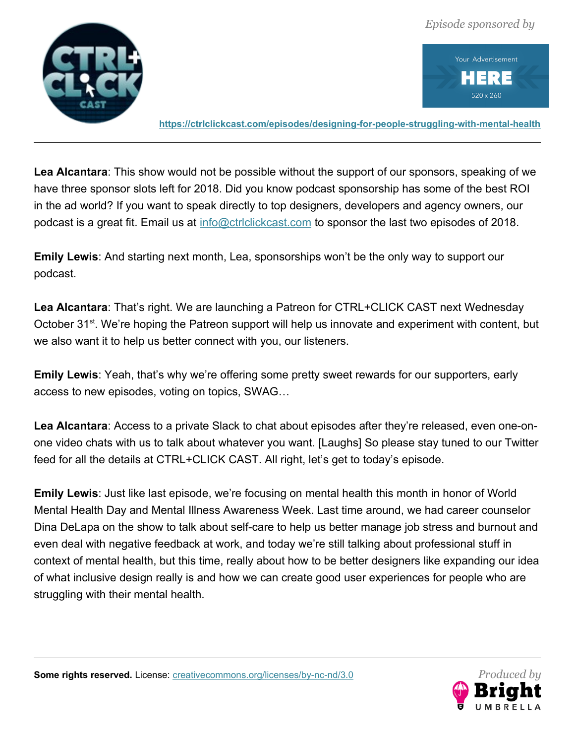



**<https://ctrlclickcast.com/episodes/designing-for-people-struggling-with-mental-health>**

**Lea Alcantara**: This show would not be possible without the support of our sponsors, speaking of we have three sponsor slots left for 2018. Did you know podcast sponsorship has some of the best ROI in the ad world? If you want to speak directly to top designers, developers and agency owners, our podcast is a great fit. Email us at [info@ctrlclickcast.com](mailto:info@ctrlclickcast.com) to sponsor the last two episodes of 2018.

**Emily Lewis**: And starting next month, Lea, sponsorships won't be the only way to support our podcast.

**Lea Alcantara**: That's right. We are launching a Patreon for CTRL+CLICK CAST next Wednesday October 31<sup>st</sup>. We're hoping the Patreon support will help us innovate and experiment with content, but we also want it to help us better connect with you, our listeners.

**Emily Lewis**: Yeah, that's why we're offering some pretty sweet rewards for our supporters, early access to new episodes, voting on topics, SWAG…

**Lea Alcantara**: Access to a private Slack to chat about episodes after they're released, even one-onone video chats with us to talk about whatever you want. [Laughs] So please stay tuned to our Twitter feed for all the details at CTRL+CLICK CAST. All right, let's get to today's episode.

**Emily Lewis**: Just like last episode, we're focusing on mental health this month in honor of World Mental Health Day and Mental Illness Awareness Week. Last time around, we had career counselor Dina DeLapa on the show to talk about self-care to help us better manage job stress and burnout and even deal with negative feedback at work, and today we're still talking about professional stuff in context of mental health, but this time, really about how to be better designers like expanding our idea of what inclusive design really is and how we can create good user experiences for people who are struggling with their mental health.

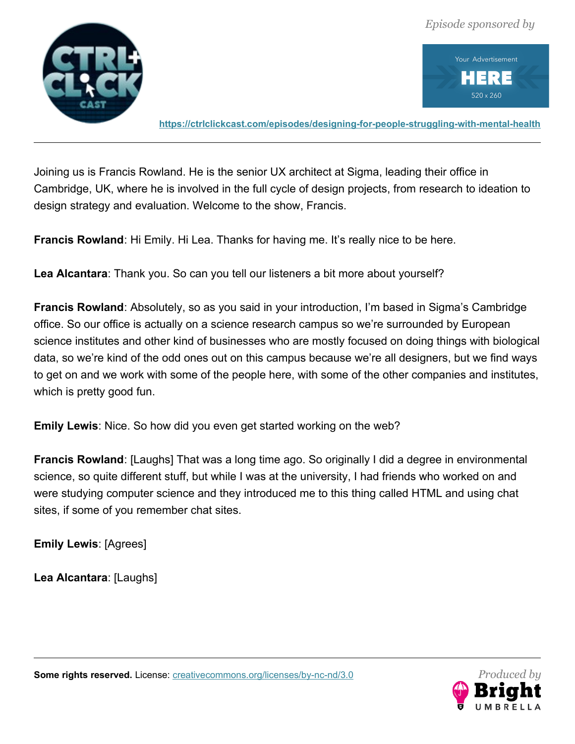



**<https://ctrlclickcast.com/episodes/designing-for-people-struggling-with-mental-health>**

Joining us is Francis Rowland. He is the senior UX architect at Sigma, leading their office in Cambridge, UK, where he is involved in the full cycle of design projects, from research to ideation to design strategy and evaluation. Welcome to the show, Francis.

**Francis Rowland**: Hi Emily. Hi Lea. Thanks for having me. It's really nice to be here.

**Lea Alcantara**: Thank you. So can you tell our listeners a bit more about yourself?

**Francis Rowland**: Absolutely, so as you said in your introduction, I'm based in Sigma's Cambridge office. So our office is actually on a science research campus so we're surrounded by European science institutes and other kind of businesses who are mostly focused on doing things with biological data, so we're kind of the odd ones out on this campus because we're all designers, but we find ways to get on and we work with some of the people here, with some of the other companies and institutes, which is pretty good fun.

**Emily Lewis**: Nice. So how did you even get started working on the web?

**Francis Rowland**: [Laughs] That was a long time ago. So originally I did a degree in environmental science, so quite different stuff, but while I was at the university, I had friends who worked on and were studying computer science and they introduced me to this thing called HTML and using chat sites, if some of you remember chat sites.

**Emily Lewis**: [Agrees]

**Lea Alcantara**: [Laughs]

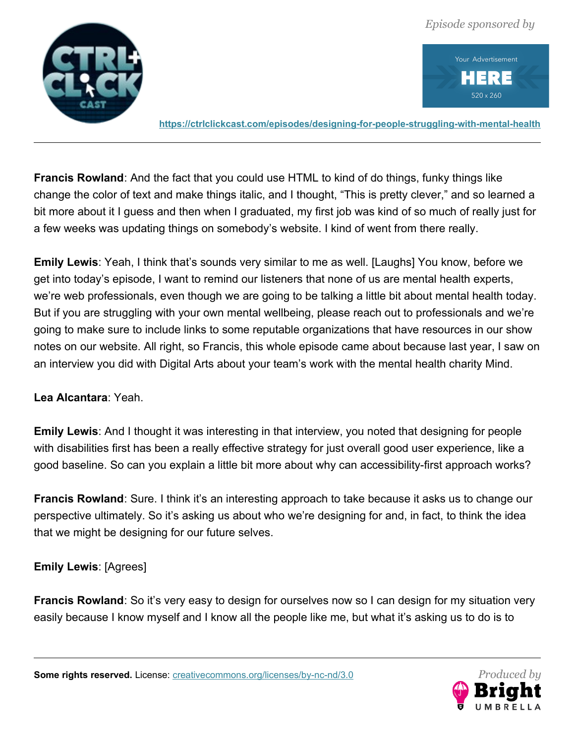



**<https://ctrlclickcast.com/episodes/designing-for-people-struggling-with-mental-health>**

**Francis Rowland**: And the fact that you could use HTML to kind of do things, funky things like change the color of text and make things italic, and I thought, "This is pretty clever," and so learned a bit more about it I guess and then when I graduated, my first job was kind of so much of really just for a few weeks was updating things on somebody's website. I kind of went from there really.

**Emily Lewis**: Yeah, I think that's sounds very similar to me as well. [Laughs] You know, before we get into today's episode, I want to remind our listeners that none of us are mental health experts, we're web professionals, even though we are going to be talking a little bit about mental health today. But if you are struggling with your own mental wellbeing, please reach out to professionals and we're going to make sure to include links to some reputable organizations that have resources in our show notes on our website. All right, so Francis, this whole episode came about because last year, I saw on an interview you did with Digital Arts about your team's work with the mental health charity Mind.

#### **Lea Alcantara**: Yeah.

**Emily Lewis**: And I thought it was interesting in that interview, you noted that designing for people with disabilities first has been a really effective strategy for just overall good user experience, like a good baseline. So can you explain a little bit more about why can accessibility-first approach works?

**Francis Rowland**: Sure. I think it's an interesting approach to take because it asks us to change our perspective ultimately. So it's asking us about who we're designing for and, in fact, to think the idea that we might be designing for our future selves.

#### **Emily Lewis**: [Agrees]

**Francis Rowland**: So it's very easy to design for ourselves now so I can design for my situation very easily because I know myself and I know all the people like me, but what it's asking us to do is to

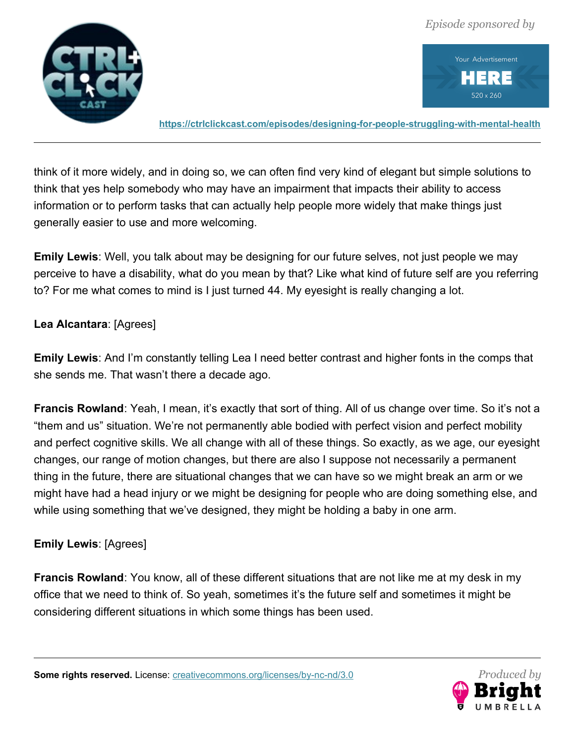



**<https://ctrlclickcast.com/episodes/designing-for-people-struggling-with-mental-health>**

think of it more widely, and in doing so, we can often find very kind of elegant but simple solutions to think that yes help somebody who may have an impairment that impacts their ability to access information or to perform tasks that can actually help people more widely that make things just generally easier to use and more welcoming.

**Emily Lewis**: Well, you talk about may be designing for our future selves, not just people we may perceive to have a disability, what do you mean by that? Like what kind of future self are you referring to? For me what comes to mind is I just turned 44. My eyesight is really changing a lot.

#### **Lea Alcantara**: [Agrees]

**Emily Lewis**: And I'm constantly telling Lea I need better contrast and higher fonts in the comps that she sends me. That wasn't there a decade ago.

**Francis Rowland**: Yeah, I mean, it's exactly that sort of thing. All of us change over time. So it's not a "them and us" situation. We're not permanently able bodied with perfect vision and perfect mobility and perfect cognitive skills. We all change with all of these things. So exactly, as we age, our eyesight changes, our range of motion changes, but there are also I suppose not necessarily a permanent thing in the future, there are situational changes that we can have so we might break an arm or we might have had a head injury or we might be designing for people who are doing something else, and while using something that we've designed, they might be holding a baby in one arm.

# **Emily Lewis**: [Agrees]

**Francis Rowland**: You know, all of these different situations that are not like me at my desk in my office that we need to think of. So yeah, sometimes it's the future self and sometimes it might be considering different situations in which some things has been used.

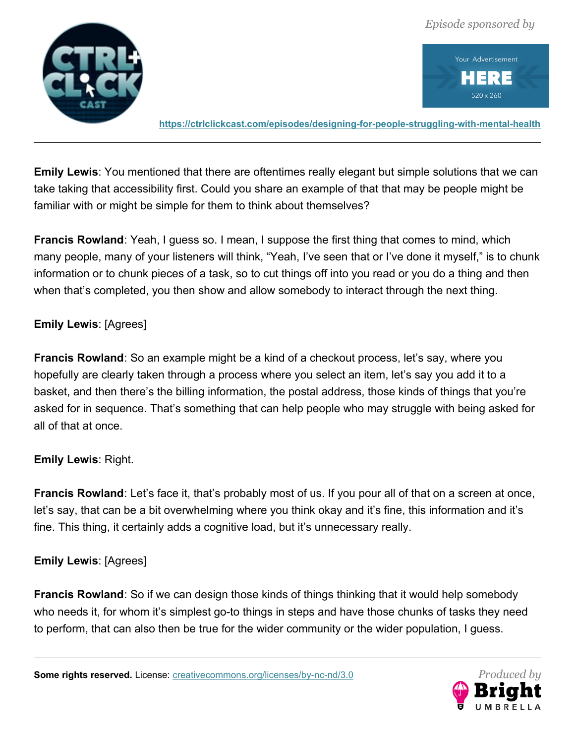



**<https://ctrlclickcast.com/episodes/designing-for-people-struggling-with-mental-health>**

**Emily Lewis**: You mentioned that there are oftentimes really elegant but simple solutions that we can take taking that accessibility first. Could you share an example of that that may be people might be familiar with or might be simple for them to think about themselves?

**Francis Rowland**: Yeah, I guess so. I mean, I suppose the first thing that comes to mind, which many people, many of your listeners will think, "Yeah, I've seen that or I've done it myself," is to chunk information or to chunk pieces of a task, so to cut things off into you read or you do a thing and then when that's completed, you then show and allow somebody to interact through the next thing.

## **Emily Lewis**: [Agrees]

**Francis Rowland**: So an example might be a kind of a checkout process, let's say, where you hopefully are clearly taken through a process where you select an item, let's say you add it to a basket, and then there's the billing information, the postal address, those kinds of things that you're asked for in sequence. That's something that can help people who may struggle with being asked for all of that at once.

#### **Emily Lewis**: Right.

**Francis Rowland**: Let's face it, that's probably most of us. If you pour all of that on a screen at once, let's say, that can be a bit overwhelming where you think okay and it's fine, this information and it's fine. This thing, it certainly adds a cognitive load, but it's unnecessary really.

#### **Emily Lewis**: [Agrees]

**Francis Rowland**: So if we can design those kinds of things thinking that it would help somebody who needs it, for whom it's simplest go-to things in steps and have those chunks of tasks they need to perform, that can also then be true for the wider community or the wider population, I guess.

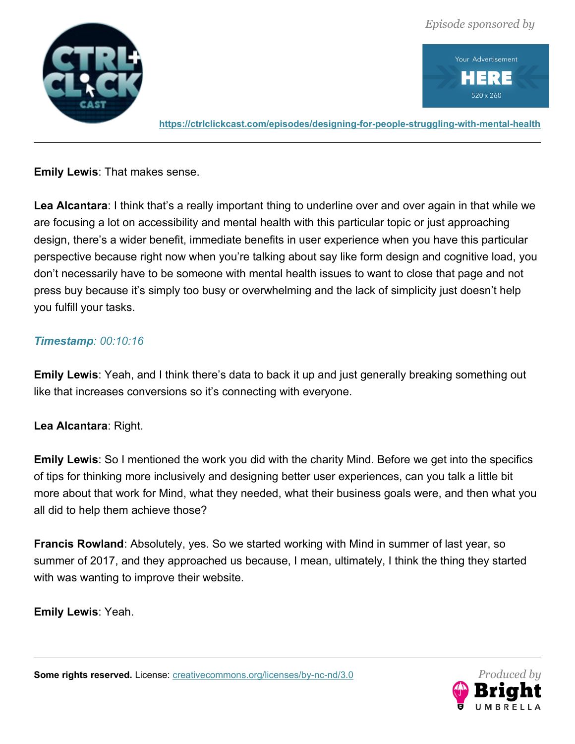



**<https://ctrlclickcast.com/episodes/designing-for-people-struggling-with-mental-health>**

**Emily Lewis**: That makes sense.

**Lea Alcantara**: I think that's a really important thing to underline over and over again in that while we are focusing a lot on accessibility and mental health with this particular topic or just approaching design, there's a wider benefit, immediate benefits in user experience when you have this particular perspective because right now when you're talking about say like form design and cognitive load, you don't necessarily have to be someone with mental health issues to want to close that page and not press buy because it's simply too busy or overwhelming and the lack of simplicity just doesn't help you fulfill your tasks.

## *Timestamp: 00:10:16*

**Emily Lewis**: Yeah, and I think there's data to back it up and just generally breaking something out like that increases conversions so it's connecting with everyone.

#### **Lea Alcantara**: Right.

**Emily Lewis**: So I mentioned the work you did with the charity Mind. Before we get into the specifics of tips for thinking more inclusively and designing better user experiences, can you talk a little bit more about that work for Mind, what they needed, what their business goals were, and then what you all did to help them achieve those?

**Francis Rowland**: Absolutely, yes. So we started working with Mind in summer of last year, so summer of 2017, and they approached us because, I mean, ultimately, I think the thing they started with was wanting to improve their website.

**Emily Lewis**: Yeah.

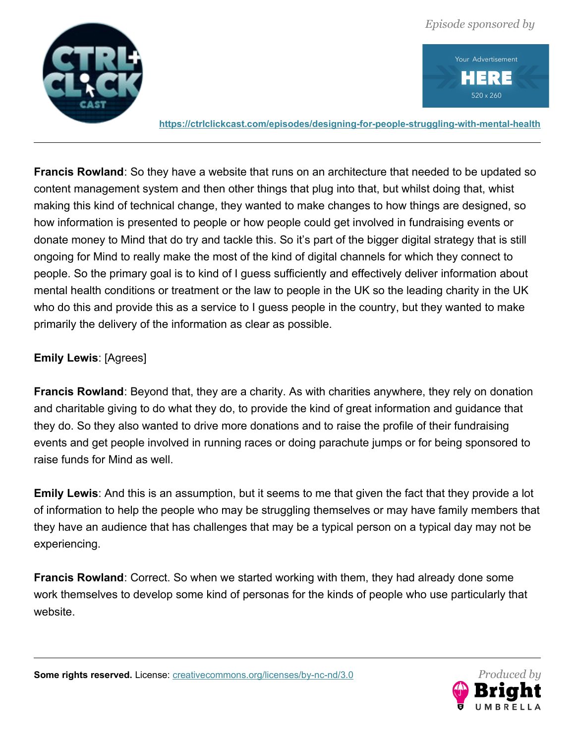



**<https://ctrlclickcast.com/episodes/designing-for-people-struggling-with-mental-health>**

**Francis Rowland**: So they have a website that runs on an architecture that needed to be updated so content management system and then other things that plug into that, but whilst doing that, whist making this kind of technical change, they wanted to make changes to how things are designed, so how information is presented to people or how people could get involved in fundraising events or donate money to Mind that do try and tackle this. So it's part of the bigger digital strategy that is still ongoing for Mind to really make the most of the kind of digital channels for which they connect to people. So the primary goal is to kind of I guess sufficiently and effectively deliver information about mental health conditions or treatment or the law to people in the UK so the leading charity in the UK who do this and provide this as a service to I guess people in the country, but they wanted to make primarily the delivery of the information as clear as possible.

## **Emily Lewis**: [Agrees]

**Francis Rowland**: Beyond that, they are a charity. As with charities anywhere, they rely on donation and charitable giving to do what they do, to provide the kind of great information and guidance that they do. So they also wanted to drive more donations and to raise the profile of their fundraising events and get people involved in running races or doing parachute jumps or for being sponsored to raise funds for Mind as well.

**Emily Lewis**: And this is an assumption, but it seems to me that given the fact that they provide a lot of information to help the people who may be struggling themselves or may have family members that they have an audience that has challenges that may be a typical person on a typical day may not be experiencing.

**Francis Rowland**: Correct. So when we started working with them, they had already done some work themselves to develop some kind of personas for the kinds of people who use particularly that website.

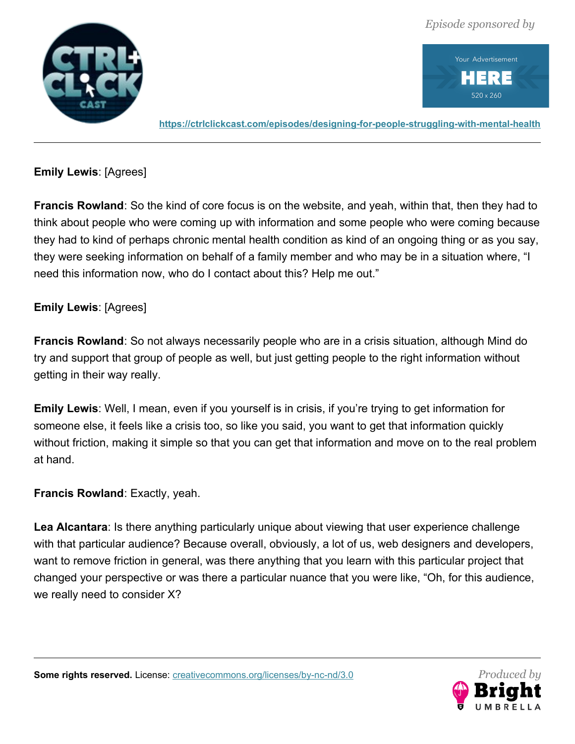

Your Advertisement Ξ 520 x 260

**<https://ctrlclickcast.com/episodes/designing-for-people-struggling-with-mental-health>**

**Emily Lewis**: [Agrees]

**Francis Rowland**: So the kind of core focus is on the website, and yeah, within that, then they had to think about people who were coming up with information and some people who were coming because they had to kind of perhaps chronic mental health condition as kind of an ongoing thing or as you say, they were seeking information on behalf of a family member and who may be in a situation where, "I need this information now, who do I contact about this? Help me out."

## **Emily Lewis**: [Agrees]

**Francis Rowland**: So not always necessarily people who are in a crisis situation, although Mind do try and support that group of people as well, but just getting people to the right information without getting in their way really.

**Emily Lewis**: Well, I mean, even if you yourself is in crisis, if you're trying to get information for someone else, it feels like a crisis too, so like you said, you want to get that information quickly without friction, making it simple so that you can get that information and move on to the real problem at hand.

#### **Francis Rowland**: Exactly, yeah.

**Lea Alcantara**: Is there anything particularly unique about viewing that user experience challenge with that particular audience? Because overall, obviously, a lot of us, web designers and developers, want to remove friction in general, was there anything that you learn with this particular project that changed your perspective or was there a particular nuance that you were like, "Oh, for this audience, we really need to consider X?

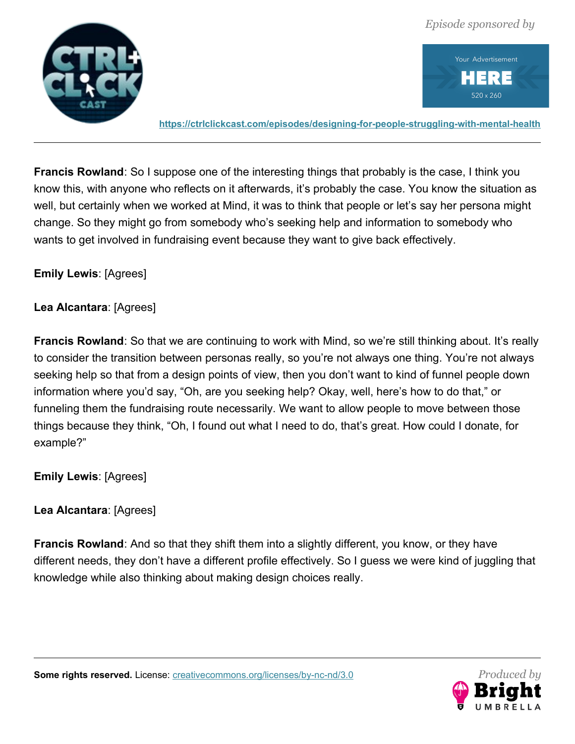



**<https://ctrlclickcast.com/episodes/designing-for-people-struggling-with-mental-health>**

**Francis Rowland**: So I suppose one of the interesting things that probably is the case, I think you know this, with anyone who reflects on it afterwards, it's probably the case. You know the situation as well, but certainly when we worked at Mind, it was to think that people or let's say her persona might change. So they might go from somebody who's seeking help and information to somebody who wants to get involved in fundraising event because they want to give back effectively.

## **Emily Lewis**: [Agrees]

#### **Lea Alcantara**: [Agrees]

**Francis Rowland**: So that we are continuing to work with Mind, so we're still thinking about. It's really to consider the transition between personas really, so you're not always one thing. You're not always seeking help so that from a design points of view, then you don't want to kind of funnel people down information where you'd say, "Oh, are you seeking help? Okay, well, here's how to do that," or funneling them the fundraising route necessarily. We want to allow people to move between those things because they think, "Oh, I found out what I need to do, that's great. How could I donate, for example?"

**Emily Lewis**: [Agrees]

# **Lea Alcantara**: [Agrees]

**Francis Rowland**: And so that they shift them into a slightly different, you know, or they have different needs, they don't have a different profile effectively. So I guess we were kind of juggling that knowledge while also thinking about making design choices really.

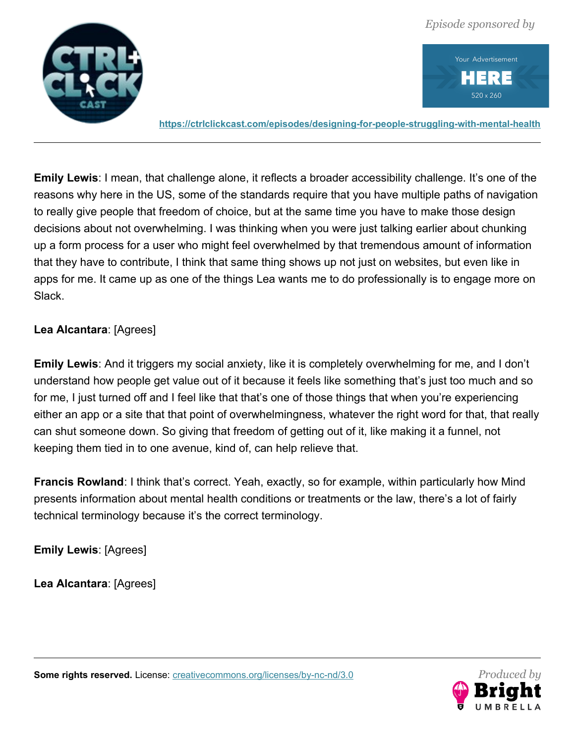

Your Advertisement RE 520 x 260

**<https://ctrlclickcast.com/episodes/designing-for-people-struggling-with-mental-health>**

**Emily Lewis**: I mean, that challenge alone, it reflects a broader accessibility challenge. It's one of the reasons why here in the US, some of the standards require that you have multiple paths of navigation to really give people that freedom of choice, but at the same time you have to make those design decisions about not overwhelming. I was thinking when you were just talking earlier about chunking up a form process for a user who might feel overwhelmed by that tremendous amount of information that they have to contribute, I think that same thing shows up not just on websites, but even like in apps for me. It came up as one of the things Lea wants me to do professionally is to engage more on Slack.

## **Lea Alcantara**: [Agrees]

**Emily Lewis**: And it triggers my social anxiety, like it is completely overwhelming for me, and I don't understand how people get value out of it because it feels like something that's just too much and so for me, I just turned off and I feel like that that's one of those things that when you're experiencing either an app or a site that that point of overwhelmingness, whatever the right word for that, that really can shut someone down. So giving that freedom of getting out of it, like making it a funnel, not keeping them tied in to one avenue, kind of, can help relieve that.

**Francis Rowland:** I think that's correct. Yeah, exactly, so for example, within particularly how Mind presents information about mental health conditions or treatments or the law, there's a lot of fairly technical terminology because it's the correct terminology.

**Emily Lewis**: [Agrees]

**Lea Alcantara**: [Agrees]

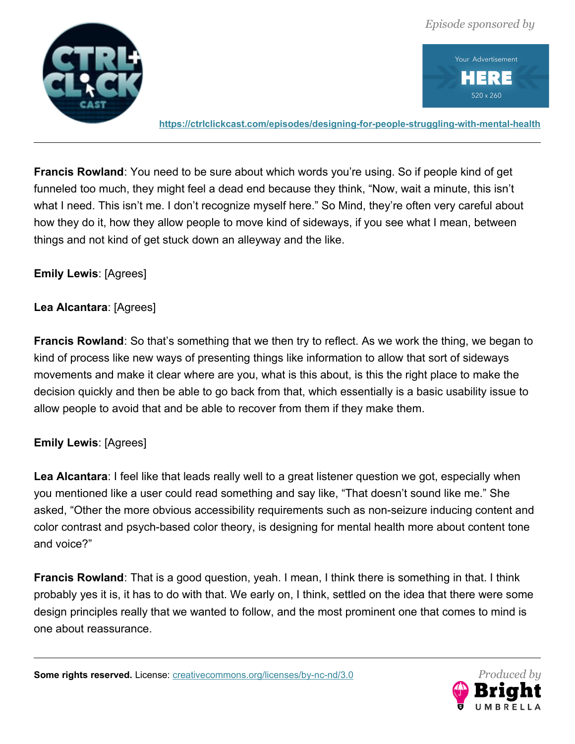



**<https://ctrlclickcast.com/episodes/designing-for-people-struggling-with-mental-health>**

**Francis Rowland**: You need to be sure about which words you're using. So if people kind of get funneled too much, they might feel a dead end because they think, "Now, wait a minute, this isn't what I need. This isn't me. I don't recognize myself here." So Mind, they're often very careful about how they do it, how they allow people to move kind of sideways, if you see what I mean, between things and not kind of get stuck down an alleyway and the like.

#### **Emily Lewis**: [Agrees]

#### **Lea Alcantara**: [Agrees]

**Francis Rowland**: So that's something that we then try to reflect. As we work the thing, we began to kind of process like new ways of presenting things like information to allow that sort of sideways movements and make it clear where are you, what is this about, is this the right place to make the decision quickly and then be able to go back from that, which essentially is a basic usability issue to allow people to avoid that and be able to recover from them if they make them.

#### **Emily Lewis**: [Agrees]

**Lea Alcantara**: I feel like that leads really well to a great listener question we got, especially when you mentioned like a user could read something and say like, "That doesn't sound like me." She asked, "Other the more obvious accessibility requirements such as non-seizure inducing content and color contrast and psych-based color theory, is designing for mental health more about content tone and voice?"

**Francis Rowland**: That is a good question, yeah. I mean, I think there is something in that. I think probably yes it is, it has to do with that. We early on, I think, settled on the idea that there were some design principles really that we wanted to follow, and the most prominent one that comes to mind is one about reassurance.

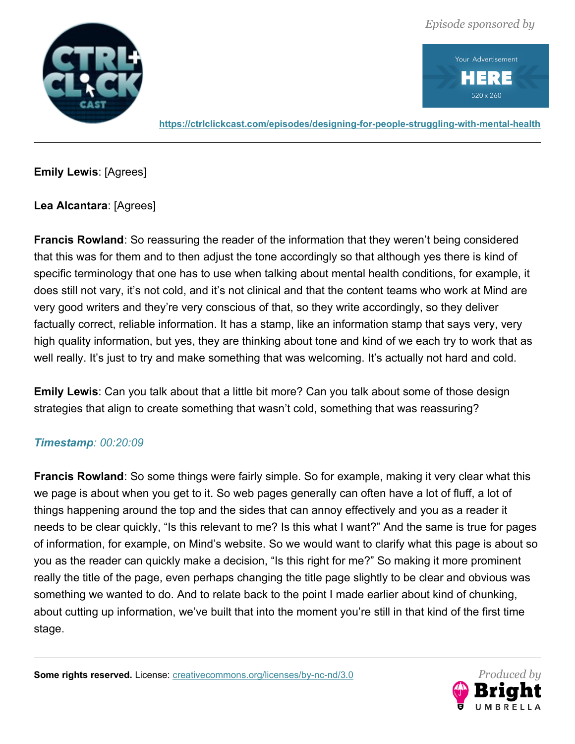



**<https://ctrlclickcast.com/episodes/designing-for-people-struggling-with-mental-health>**

**Emily Lewis**: [Agrees]

**Lea Alcantara**: [Agrees]

**Francis Rowland**: So reassuring the reader of the information that they weren't being considered that this was for them and to then adjust the tone accordingly so that although yes there is kind of specific terminology that one has to use when talking about mental health conditions, for example, it does still not vary, it's not cold, and it's not clinical and that the content teams who work at Mind are very good writers and they're very conscious of that, so they write accordingly, so they deliver factually correct, reliable information. It has a stamp, like an information stamp that says very, very high quality information, but yes, they are thinking about tone and kind of we each try to work that as well really. It's just to try and make something that was welcoming. It's actually not hard and cold.

**Emily Lewis**: Can you talk about that a little bit more? Can you talk about some of those design strategies that align to create something that wasn't cold, something that was reassuring?

# *Timestamp: 00:20:09*

**Francis Rowland**: So some things were fairly simple. So for example, making it very clear what this we page is about when you get to it. So web pages generally can often have a lot of fluff, a lot of things happening around the top and the sides that can annoy effectively and you as a reader it needs to be clear quickly, "Is this relevant to me? Is this what I want?" And the same is true for pages of information, for example, on Mind's website. So we would want to clarify what this page is about so you as the reader can quickly make a decision, "Is this right for me?" So making it more prominent really the title of the page, even perhaps changing the title page slightly to be clear and obvious was something we wanted to do. And to relate back to the point I made earlier about kind of chunking, about cutting up information, we've built that into the moment you're still in that kind of the first time stage.

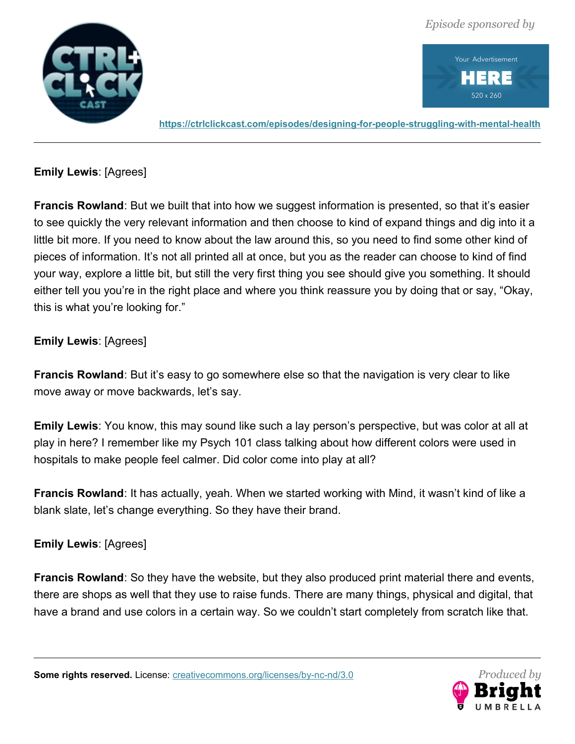

Your Advertisement Ξ 520 x 260

**<https://ctrlclickcast.com/episodes/designing-for-people-struggling-with-mental-health>**

**Emily Lewis**: [Agrees]

**Francis Rowland**: But we built that into how we suggest information is presented, so that it's easier to see quickly the very relevant information and then choose to kind of expand things and dig into it a little bit more. If you need to know about the law around this, so you need to find some other kind of pieces of information. It's not all printed all at once, but you as the reader can choose to kind of find your way, explore a little bit, but still the very first thing you see should give you something. It should either tell you you're in the right place and where you think reassure you by doing that or say, "Okay, this is what you're looking for."

# **Emily Lewis**: [Agrees]

**Francis Rowland**: But it's easy to go somewhere else so that the navigation is very clear to like move away or move backwards, let's say.

**Emily Lewis**: You know, this may sound like such a lay person's perspective, but was color at all at play in here? I remember like my Psych 101 class talking about how different colors were used in hospitals to make people feel calmer. Did color come into play at all?

**Francis Rowland**: It has actually, yeah. When we started working with Mind, it wasn't kind of like a blank slate, let's change everything. So they have their brand.

**Emily Lewis**: [Agrees]

**Francis Rowland**: So they have the website, but they also produced print material there and events, there are shops as well that they use to raise funds. There are many things, physical and digital, that have a brand and use colors in a certain way. So we couldn't start completely from scratch like that.

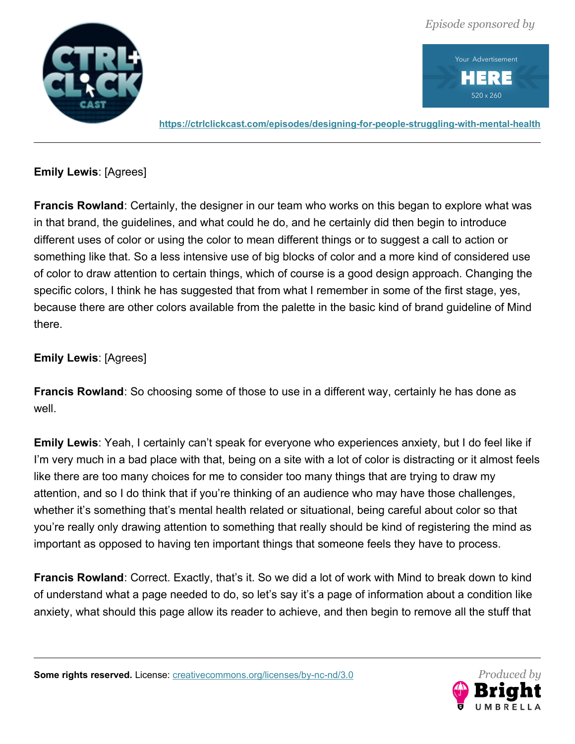

Your Advertisement RE 520 x 260

**<https://ctrlclickcast.com/episodes/designing-for-people-struggling-with-mental-health>**

**Emily Lewis**: [Agrees]

**Francis Rowland**: Certainly, the designer in our team who works on this began to explore what was in that brand, the guidelines, and what could he do, and he certainly did then begin to introduce different uses of color or using the color to mean different things or to suggest a call to action or something like that. So a less intensive use of big blocks of color and a more kind of considered use of color to draw attention to certain things, which of course is a good design approach. Changing the specific colors, I think he has suggested that from what I remember in some of the first stage, yes, because there are other colors available from the palette in the basic kind of brand guideline of Mind there.

# **Emily Lewis**: [Agrees]

**Francis Rowland**: So choosing some of those to use in a different way, certainly he has done as well.

**Emily Lewis**: Yeah, I certainly can't speak for everyone who experiences anxiety, but I do feel like if I'm very much in a bad place with that, being on a site with a lot of color is distracting or it almost feels like there are too many choices for me to consider too many things that are trying to draw my attention, and so I do think that if you're thinking of an audience who may have those challenges, whether it's something that's mental health related or situational, being careful about color so that you're really only drawing attention to something that really should be kind of registering the mind as important as opposed to having ten important things that someone feels they have to process.

**Francis Rowland:** Correct. Exactly, that's it. So we did a lot of work with Mind to break down to kind of understand what a page needed to do, so let's say it's a page of information about a condition like anxiety, what should this page allow its reader to achieve, and then begin to remove all the stuff that

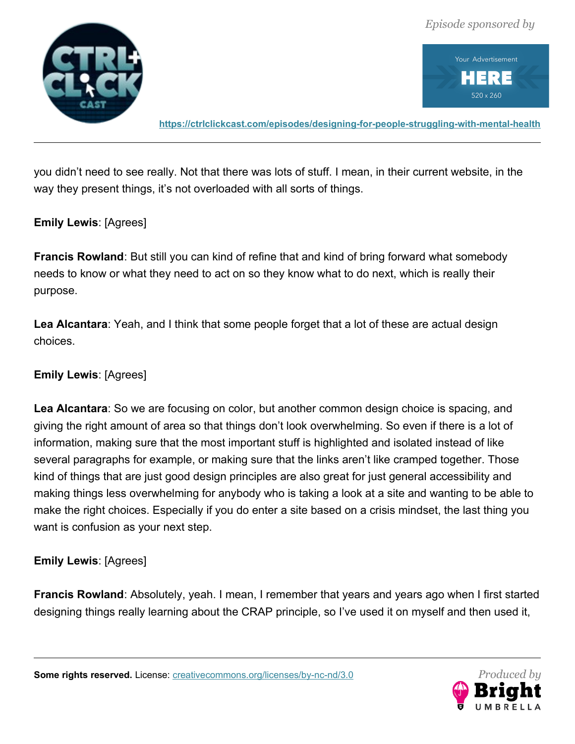



**<https://ctrlclickcast.com/episodes/designing-for-people-struggling-with-mental-health>**

you didn't need to see really. Not that there was lots of stuff. I mean, in their current website, in the way they present things, it's not overloaded with all sorts of things.

#### **Emily Lewis**: [Agrees]

**Francis Rowland**: But still you can kind of refine that and kind of bring forward what somebody needs to know or what they need to act on so they know what to do next, which is really their purpose.

**Lea Alcantara**: Yeah, and I think that some people forget that a lot of these are actual design choices.

## **Emily Lewis**: [Agrees]

**Lea Alcantara**: So we are focusing on color, but another common design choice is spacing, and giving the right amount of area so that things don't look overwhelming. So even if there is a lot of information, making sure that the most important stuff is highlighted and isolated instead of like several paragraphs for example, or making sure that the links aren't like cramped together. Those kind of things that are just good design principles are also great for just general accessibility and making things less overwhelming for anybody who is taking a look at a site and wanting to be able to make the right choices. Especially if you do enter a site based on a crisis mindset, the last thing you want is confusion as your next step.

#### **Emily Lewis**: [Agrees]

**Francis Rowland**: Absolutely, yeah. I mean, I remember that years and years ago when I first started designing things really learning about the CRAP principle, so I've used it on myself and then used it,

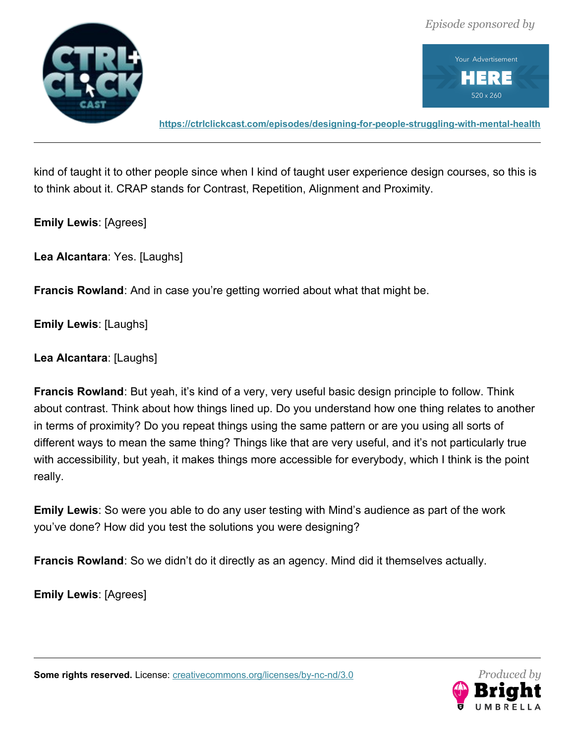



**<https://ctrlclickcast.com/episodes/designing-for-people-struggling-with-mental-health>**

kind of taught it to other people since when I kind of taught user experience design courses, so this is to think about it. CRAP stands for Contrast, Repetition, Alignment and Proximity.

**Emily Lewis**: [Agrees]

**Lea Alcantara**: Yes. [Laughs]

**Francis Rowland**: And in case you're getting worried about what that might be.

**Emily Lewis**: [Laughs]

**Lea Alcantara**: [Laughs]

**Francis Rowland**: But yeah, it's kind of a very, very useful basic design principle to follow. Think about contrast. Think about how things lined up. Do you understand how one thing relates to another in terms of proximity? Do you repeat things using the same pattern or are you using all sorts of different ways to mean the same thing? Things like that are very useful, and it's not particularly true with accessibility, but yeah, it makes things more accessible for everybody, which I think is the point really.

**Emily Lewis**: So were you able to do any user testing with Mind's audience as part of the work you've done? How did you test the solutions you were designing?

**Francis Rowland**: So we didn't do it directly as an agency. Mind did it themselves actually.

**Emily Lewis**: [Agrees]

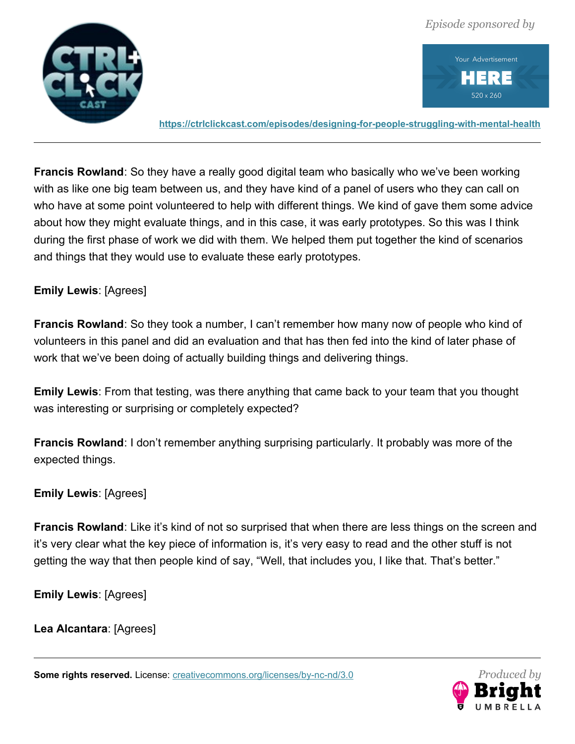



**<https://ctrlclickcast.com/episodes/designing-for-people-struggling-with-mental-health>**

**Francis Rowland**: So they have a really good digital team who basically who we've been working with as like one big team between us, and they have kind of a panel of users who they can call on who have at some point volunteered to help with different things. We kind of gave them some advice about how they might evaluate things, and in this case, it was early prototypes. So this was I think during the first phase of work we did with them. We helped them put together the kind of scenarios and things that they would use to evaluate these early prototypes.

## **Emily Lewis**: [Agrees]

**Francis Rowland**: So they took a number, I can't remember how many now of people who kind of volunteers in this panel and did an evaluation and that has then fed into the kind of later phase of work that we've been doing of actually building things and delivering things.

**Emily Lewis**: From that testing, was there anything that came back to your team that you thought was interesting or surprising or completely expected?

**Francis Rowland**: I don't remember anything surprising particularly. It probably was more of the expected things.

#### **Emily Lewis**: [Agrees]

**Francis Rowland**: Like it's kind of not so surprised that when there are less things on the screen and it's very clear what the key piece of information is, it's very easy to read and the other stuff is not getting the way that then people kind of say, "Well, that includes you, I like that. That's better."

**Emily Lewis**: [Agrees]

**Lea Alcantara**: [Agrees]

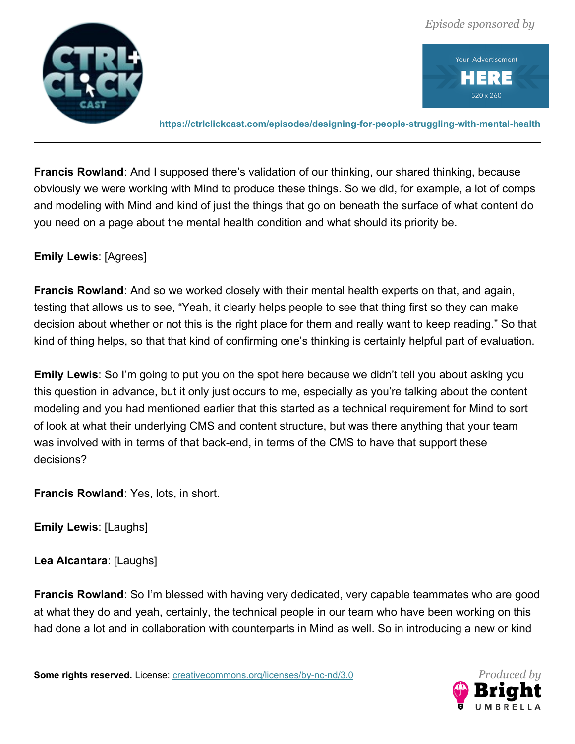



**<https://ctrlclickcast.com/episodes/designing-for-people-struggling-with-mental-health>**

**Francis Rowland**: And I supposed there's validation of our thinking, our shared thinking, because obviously we were working with Mind to produce these things. So we did, for example, a lot of comps and modeling with Mind and kind of just the things that go on beneath the surface of what content do you need on a page about the mental health condition and what should its priority be.

## **Emily Lewis**: [Agrees]

**Francis Rowland**: And so we worked closely with their mental health experts on that, and again, testing that allows us to see, "Yeah, it clearly helps people to see that thing first so they can make decision about whether or not this is the right place for them and really want to keep reading." So that kind of thing helps, so that that kind of confirming one's thinking is certainly helpful part of evaluation.

**Emily Lewis**: So I'm going to put you on the spot here because we didn't tell you about asking you this question in advance, but it only just occurs to me, especially as you're talking about the content modeling and you had mentioned earlier that this started as a technical requirement for Mind to sort of look at what their underlying CMS and content structure, but was there anything that your team was involved with in terms of that back-end, in terms of the CMS to have that support these decisions?

**Francis Rowland**: Yes, lots, in short.

**Emily Lewis**: [Laughs]

**Lea Alcantara**: [Laughs]

**Francis Rowland**: So I'm blessed with having very dedicated, very capable teammates who are good at what they do and yeah, certainly, the technical people in our team who have been working on this had done a lot and in collaboration with counterparts in Mind as well. So in introducing a new or kind

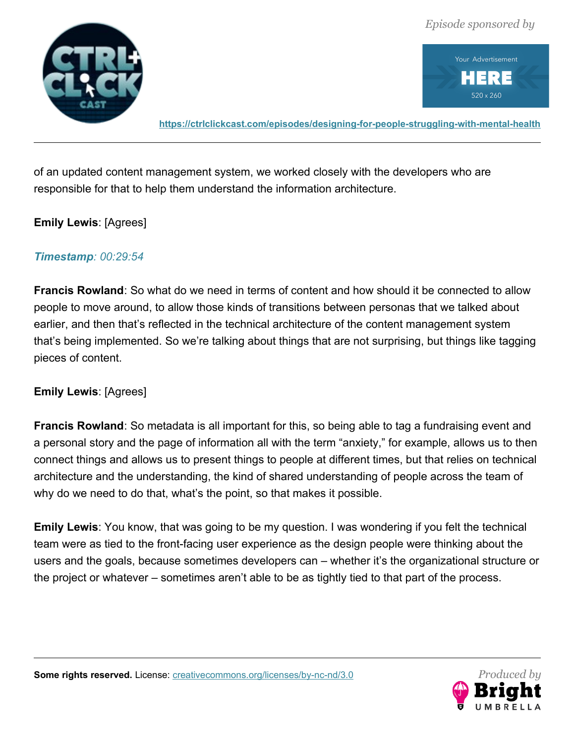



**<https://ctrlclickcast.com/episodes/designing-for-people-struggling-with-mental-health>**

of an updated content management system, we worked closely with the developers who are responsible for that to help them understand the information architecture.

#### **Emily Lewis**: [Agrees]

#### *Timestamp: 00:29:54*

**Francis Rowland**: So what do we need in terms of content and how should it be connected to allow people to move around, to allow those kinds of transitions between personas that we talked about earlier, and then that's reflected in the technical architecture of the content management system that's being implemented. So we're talking about things that are not surprising, but things like tagging pieces of content.

#### **Emily Lewis**: [Agrees]

**Francis Rowland**: So metadata is all important for this, so being able to tag a fundraising event and a personal story and the page of information all with the term "anxiety," for example, allows us to then connect things and allows us to present things to people at different times, but that relies on technical architecture and the understanding, the kind of shared understanding of people across the team of why do we need to do that, what's the point, so that makes it possible.

**Emily Lewis**: You know, that was going to be my question. I was wondering if you felt the technical team were as tied to the front-facing user experience as the design people were thinking about the users and the goals, because sometimes developers can – whether it's the organizational structure or the project or whatever – sometimes aren't able to be as tightly tied to that part of the process.

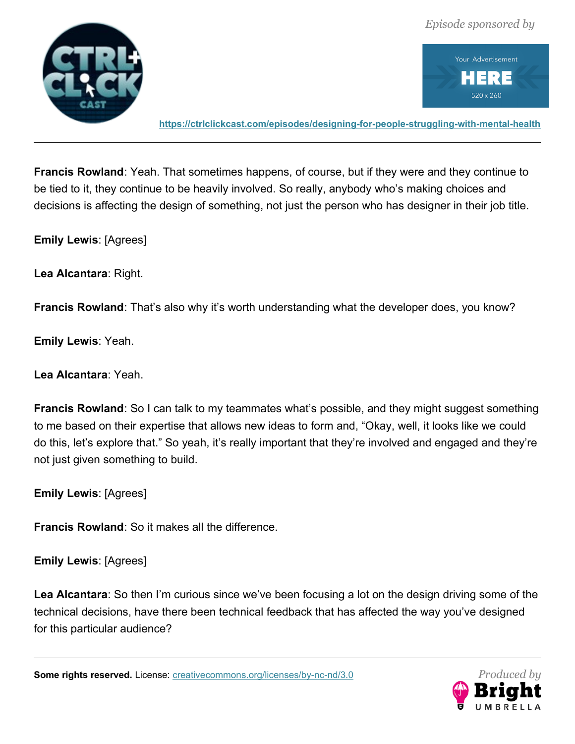



**<https://ctrlclickcast.com/episodes/designing-for-people-struggling-with-mental-health>**

**Francis Rowland**: Yeah. That sometimes happens, of course, but if they were and they continue to be tied to it, they continue to be heavily involved. So really, anybody who's making choices and decisions is affecting the design of something, not just the person who has designer in their job title.

**Emily Lewis**: [Agrees]

**Lea Alcantara**: Right.

**Francis Rowland**: That's also why it's worth understanding what the developer does, you know?

**Emily Lewis**: Yeah.

**Lea Alcantara**: Yeah.

**Francis Rowland**: So I can talk to my teammates what's possible, and they might suggest something to me based on their expertise that allows new ideas to form and, "Okay, well, it looks like we could do this, let's explore that." So yeah, it's really important that they're involved and engaged and they're not just given something to build.

**Emily Lewis**: [Agrees]

**Francis Rowland**: So it makes all the difference.

**Emily Lewis**: [Agrees]

**Lea Alcantara**: So then I'm curious since we've been focusing a lot on the design driving some of the technical decisions, have there been technical feedback that has affected the way you've designed for this particular audience?

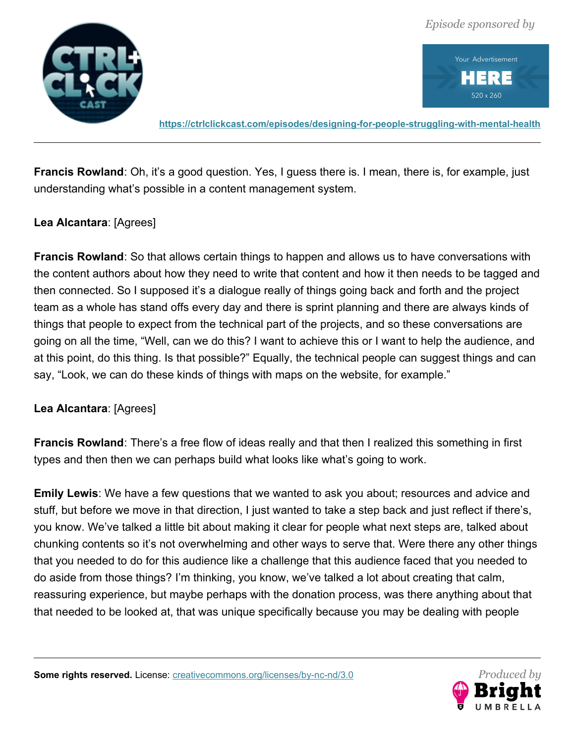



**<https://ctrlclickcast.com/episodes/designing-for-people-struggling-with-mental-health>**

**Francis Rowland**: Oh, it's a good question. Yes, I guess there is. I mean, there is, for example, just understanding what's possible in a content management system.

## **Lea Alcantara**: [Agrees]

**Francis Rowland**: So that allows certain things to happen and allows us to have conversations with the content authors about how they need to write that content and how it then needs to be tagged and then connected. So I supposed it's a dialogue really of things going back and forth and the project team as a whole has stand offs every day and there is sprint planning and there are always kinds of things that people to expect from the technical part of the projects, and so these conversations are going on all the time, "Well, can we do this? I want to achieve this or I want to help the audience, and at this point, do this thing. Is that possible?" Equally, the technical people can suggest things and can say, "Look, we can do these kinds of things with maps on the website, for example."

#### **Lea Alcantara**: [Agrees]

**Francis Rowland**: There's a free flow of ideas really and that then I realized this something in first types and then then we can perhaps build what looks like what's going to work.

**Emily Lewis**: We have a few questions that we wanted to ask you about; resources and advice and stuff, but before we move in that direction, I just wanted to take a step back and just reflect if there's, you know. We've talked a little bit about making it clear for people what next steps are, talked about chunking contents so it's not overwhelming and other ways to serve that. Were there any other things that you needed to do for this audience like a challenge that this audience faced that you needed to do aside from those things? I'm thinking, you know, we've talked a lot about creating that calm, reassuring experience, but maybe perhaps with the donation process, was there anything about that that needed to be looked at, that was unique specifically because you may be dealing with people

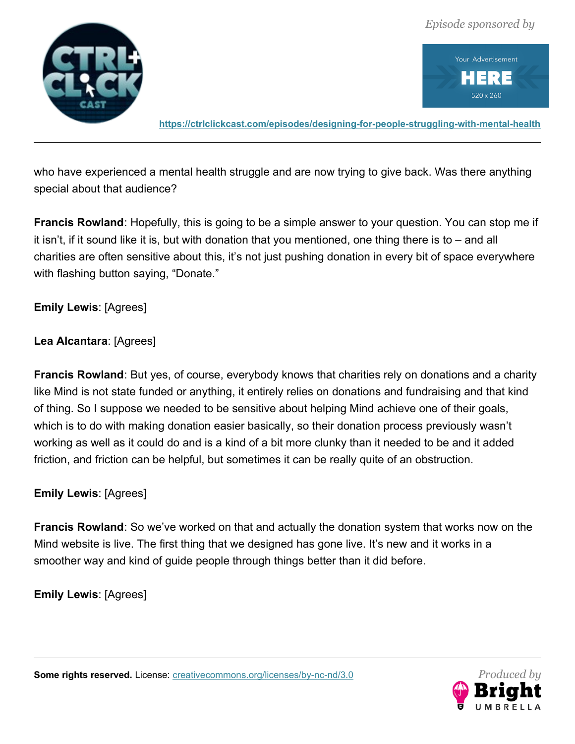

Your Advertisement P. Ξ 520 x 260

**<https://ctrlclickcast.com/episodes/designing-for-people-struggling-with-mental-health>**

who have experienced a mental health struggle and are now trying to give back. Was there anything special about that audience?

**Francis Rowland**: Hopefully, this is going to be a simple answer to your question. You can stop me if it isn't, if it sound like it is, but with donation that you mentioned, one thing there is to – and all charities are often sensitive about this, it's not just pushing donation in every bit of space everywhere with flashing button saying, "Donate."

**Emily Lewis**: [Agrees]

**Lea Alcantara**: [Agrees]

**Francis Rowland**: But yes, of course, everybody knows that charities rely on donations and a charity like Mind is not state funded or anything, it entirely relies on donations and fundraising and that kind of thing. So I suppose we needed to be sensitive about helping Mind achieve one of their goals, which is to do with making donation easier basically, so their donation process previously wasn't working as well as it could do and is a kind of a bit more clunky than it needed to be and it added friction, and friction can be helpful, but sometimes it can be really quite of an obstruction.

**Emily Lewis**: [Agrees]

**Francis Rowland**: So we've worked on that and actually the donation system that works now on the Mind website is live. The first thing that we designed has gone live. It's new and it works in a smoother way and kind of guide people through things better than it did before.

**Emily Lewis**: [Agrees]



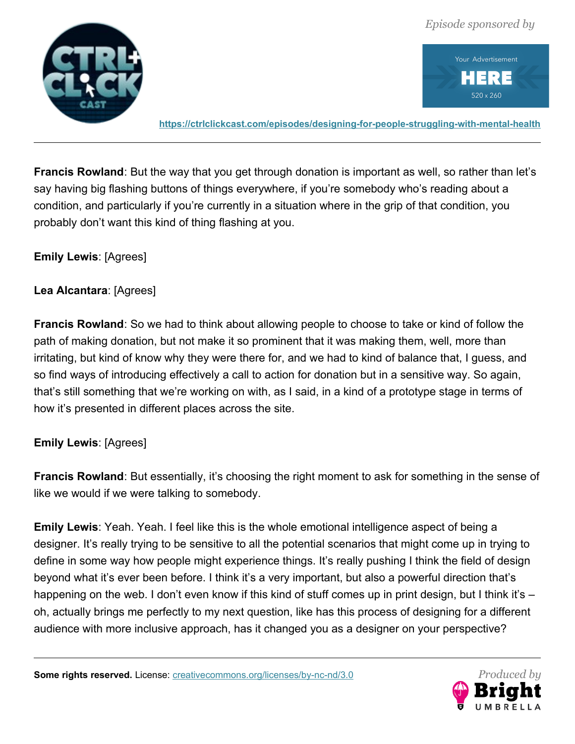



**<https://ctrlclickcast.com/episodes/designing-for-people-struggling-with-mental-health>**

**Francis Rowland**: But the way that you get through donation is important as well, so rather than let's say having big flashing buttons of things everywhere, if you're somebody who's reading about a condition, and particularly if you're currently in a situation where in the grip of that condition, you probably don't want this kind of thing flashing at you.

#### **Emily Lewis**: [Agrees]

#### **Lea Alcantara**: [Agrees]

**Francis Rowland**: So we had to think about allowing people to choose to take or kind of follow the path of making donation, but not make it so prominent that it was making them, well, more than irritating, but kind of know why they were there for, and we had to kind of balance that, I guess, and so find ways of introducing effectively a call to action for donation but in a sensitive way. So again, that's still something that we're working on with, as I said, in a kind of a prototype stage in terms of how it's presented in different places across the site.

#### **Emily Lewis**: [Agrees]

**Francis Rowland**: But essentially, it's choosing the right moment to ask for something in the sense of like we would if we were talking to somebody.

**Emily Lewis**: Yeah. Yeah. I feel like this is the whole emotional intelligence aspect of being a designer. It's really trying to be sensitive to all the potential scenarios that might come up in trying to define in some way how people might experience things. It's really pushing I think the field of design beyond what it's ever been before. I think it's a very important, but also a powerful direction that's happening on the web. I don't even know if this kind of stuff comes up in print design, but I think it's – oh, actually brings me perfectly to my next question, like has this process of designing for a different audience with more inclusive approach, has it changed you as a designer on your perspective?

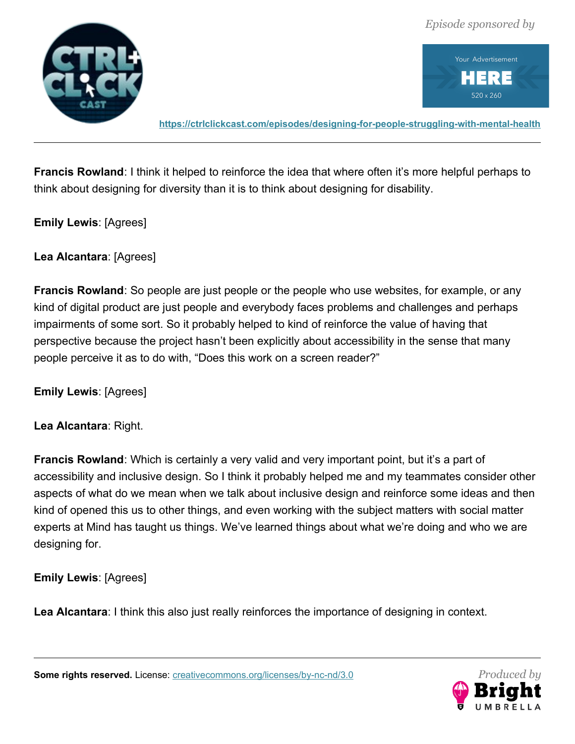



**<https://ctrlclickcast.com/episodes/designing-for-people-struggling-with-mental-health>**

**Francis Rowland:** I think it helped to reinforce the idea that where often it's more helpful perhaps to think about designing for diversity than it is to think about designing for disability.

**Emily Lewis**: [Agrees]

**Lea Alcantara**: [Agrees]

**Francis Rowland**: So people are just people or the people who use websites, for example, or any kind of digital product are just people and everybody faces problems and challenges and perhaps impairments of some sort. So it probably helped to kind of reinforce the value of having that perspective because the project hasn't been explicitly about accessibility in the sense that many people perceive it as to do with, "Does this work on a screen reader?"

**Emily Lewis**: [Agrees]

**Lea Alcantara**: Right.

**Francis Rowland:** Which is certainly a very valid and very important point, but it's a part of accessibility and inclusive design. So I think it probably helped me and my teammates consider other aspects of what do we mean when we talk about inclusive design and reinforce some ideas and then kind of opened this us to other things, and even working with the subject matters with social matter experts at Mind has taught us things. We've learned things about what we're doing and who we are designing for.

**Emily Lewis**: [Agrees]

**Lea Alcantara**: I think this also just really reinforces the importance of designing in context.

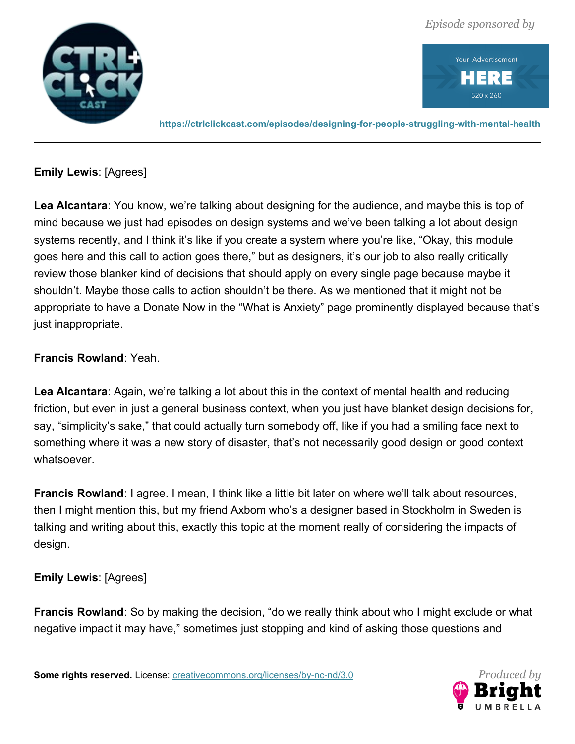

Your Advertisement P. Ξ 520 x 260

**<https://ctrlclickcast.com/episodes/designing-for-people-struggling-with-mental-health>**

**Emily Lewis**: [Agrees]

**Lea Alcantara**: You know, we're talking about designing for the audience, and maybe this is top of mind because we just had episodes on design systems and we've been talking a lot about design systems recently, and I think it's like if you create a system where you're like, "Okay, this module goes here and this call to action goes there," but as designers, it's our job to also really critically review those blanker kind of decisions that should apply on every single page because maybe it shouldn't. Maybe those calls to action shouldn't be there. As we mentioned that it might not be appropriate to have a Donate Now in the "What is Anxiety" page prominently displayed because that's just inappropriate.

# **Francis Rowland**: Yeah.

**Lea Alcantara**: Again, we're talking a lot about this in the context of mental health and reducing friction, but even in just a general business context, when you just have blanket design decisions for, say, "simplicity's sake," that could actually turn somebody off, like if you had a smiling face next to something where it was a new story of disaster, that's not necessarily good design or good context whatsoever.

**Francis Rowland**: I agree. I mean, I think like a little bit later on where we'll talk about resources, then I might mention this, but my friend Axbom who's a designer based in Stockholm in Sweden is talking and writing about this, exactly this topic at the moment really of considering the impacts of design.

# **Emily Lewis**: [Agrees]

**Francis Rowland**: So by making the decision, "do we really think about who I might exclude or what negative impact it may have," sometimes just stopping and kind of asking those questions and

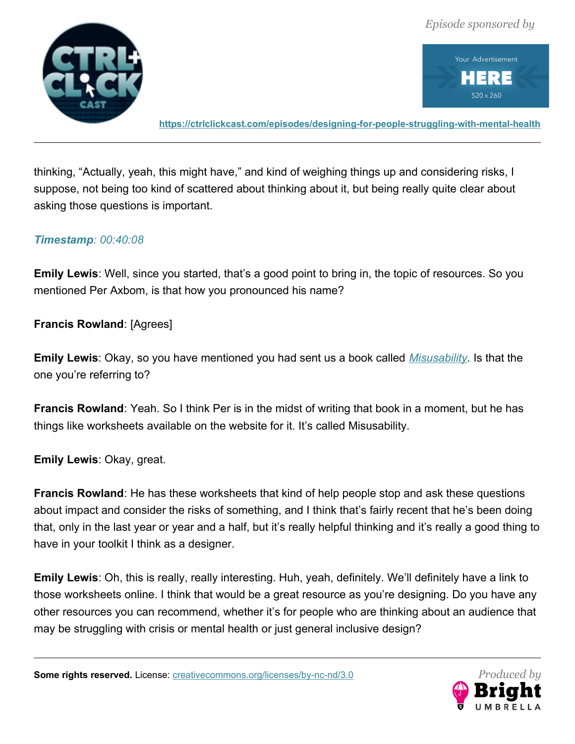



**<https://ctrlclickcast.com/episodes/designing-for-people-struggling-with-mental-health>**

thinking, "Actually, yeah, this might have," and kind of weighing things up and considering risks, I suppose, not being too kind of scattered about thinking about it, but being really quite clear about asking those questions is important.

#### *Timestamp: 00:40:08*

**Emily Lewis**: Well, since you started, that's a good point to bring in, the topic of resources. So you mentioned Per Axbom, is that how you pronounced his name?

**Francis Rowland**: [Agrees]

**Emily Lewis**: Okay, so you have mentioned you had sent us a book called *[Misusability.](https://misusability.com/)* Is that the one you're referring to?

**Francis Rowland**: Yeah. So I think Per is in the midst of writing that book in a moment, but he has things like worksheets available on the website for it. It's called Misusability.

**Emily Lewis**: Okay, great.

**Francis Rowland**: He has these worksheets that kind of help people stop and ask these questions about impact and consider the risks of something, and I think that's fairly recent that he's been doing that, only in the last year or year and a half, but it's really helpful thinking and it's really a good thing to have in your toolkit I think as a designer.

**Emily Lewis**: Oh, this is really, really interesting. Huh, yeah, definitely. We'll definitely have a link to those worksheets online. I think that would be a great resource as you're designing. Do you have any other resources you can recommend, whether it's for people who are thinking about an audience that may be struggling with crisis or mental health or just general inclusive design?

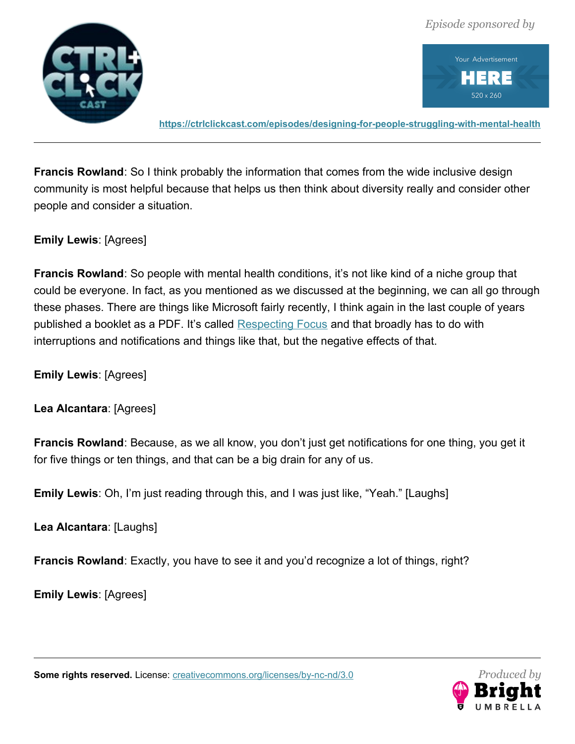



**<https://ctrlclickcast.com/episodes/designing-for-people-struggling-with-mental-health>**

**Francis Rowland**: So I think probably the information that comes from the wide inclusive design community is most helpful because that helps us then think about diversity really and consider other people and consider a situation.

**Emily Lewis**: [Agrees]

**Francis Rowland**: So people with mental health conditions, it's not like kind of a niche group that could be everyone. In fact, as you mentioned as we discussed at the beginning, we can all go through these phases. There are things like Microsoft fairly recently, I think again in the last couple of years published a booklet as a PDF. It's called [Respecting Focus](https://download.microsoft.com/download/3/E/6/3E63C27A-0E7A-4E41-A33A-84AE12068999/Respecting%20Focus-A%20Behavior%20Guide%20for%20Intelligent%20Systems.pdf) and that broadly has to do with interruptions and notifications and things like that, but the negative effects of that.

**Emily Lewis**: [Agrees]

**Lea Alcantara**: [Agrees]

**Francis Rowland**: Because, as we all know, you don't just get notifications for one thing, you get it for five things or ten things, and that can be a big drain for any of us.

**Emily Lewis**: Oh, I'm just reading through this, and I was just like, "Yeah." [Laughs]

**Lea Alcantara**: [Laughs]

**Francis Rowland**: Exactly, you have to see it and you'd recognize a lot of things, right?

**Emily Lewis**: [Agrees]

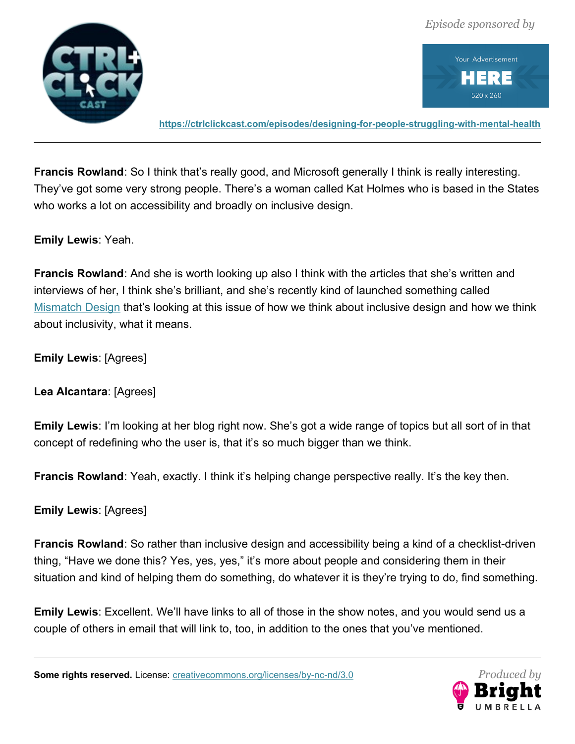



**<https://ctrlclickcast.com/episodes/designing-for-people-struggling-with-mental-health>**

**Francis Rowland**: So I think that's really good, and Microsoft generally I think is really interesting. They've got some very strong people. There's a woman called Kat Holmes who is based in the States who works a lot on accessibility and broadly on inclusive design.

**Emily Lewis**: Yeah.

**Francis Rowland**: And she is worth looking up also I think with the articles that she's written and interviews of her, I think she's brilliant, and she's recently kind of launched something called [Mismatch Design](https://mismatch.design/) that's looking at this issue of how we think about inclusive design and how we think about inclusivity, what it means.

**Emily Lewis**: [Agrees]

**Lea Alcantara**: [Agrees]

**Emily Lewis**: I'm looking at her blog right now. She's got a wide range of topics but all sort of in that concept of redefining who the user is, that it's so much bigger than we think.

**Francis Rowland**: Yeah, exactly. I think it's helping change perspective really. It's the key then.

**Emily Lewis**: [Agrees]

**Francis Rowland**: So rather than inclusive design and accessibility being a kind of a checklist-driven thing, "Have we done this? Yes, yes, yes," it's more about people and considering them in their situation and kind of helping them do something, do whatever it is they're trying to do, find something.

**Emily Lewis**: Excellent. We'll have links to all of those in the show notes, and you would send us a couple of others in email that will link to, too, in addition to the ones that you've mentioned.

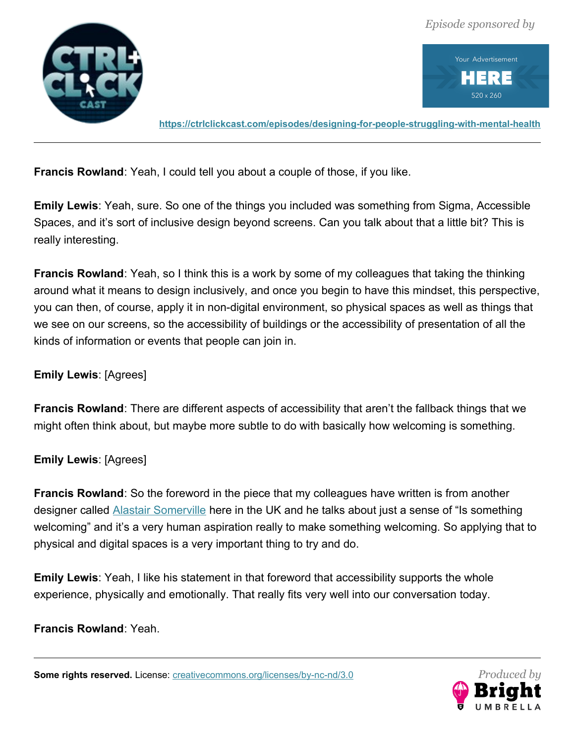



**<https://ctrlclickcast.com/episodes/designing-for-people-struggling-with-mental-health>**

**Francis Rowland**: Yeah, I could tell you about a couple of those, if you like.

**Emily Lewis**: Yeah, sure. So one of the things you included was something from Sigma, Accessible Spaces, and it's sort of inclusive design beyond screens. Can you talk about that a little bit? This is really interesting.

**Francis Rowland**: Yeah, so I think this is a work by some of my colleagues that taking the thinking around what it means to design inclusively, and once you begin to have this mindset, this perspective, you can then, of course, apply it in non-digital environment, so physical spaces as well as things that we see on our screens, so the accessibility of buildings or the accessibility of presentation of all the kinds of information or events that people can join in.

# **Emily Lewis**: [Agrees]

**Francis Rowland**: There are different aspects of accessibility that aren't the fallback things that we might often think about, but maybe more subtle to do with basically how welcoming is something.

#### **Emily Lewis**: [Agrees]

**Francis Rowland**: So the foreword in the piece that my colleagues have written is from another designer called **Alastair Somerville** here in the UK and he talks about just a sense of "Is something welcoming" and it's a very human aspiration really to make something welcoming. So applying that to physical and digital spaces is a very important thing to try and do.

**Emily Lewis**: Yeah, I like his statement in that foreword that accessibility supports the whole experience, physically and emotionally. That really fits very well into our conversation today.

#### **Francis Rowland**: Yeah.

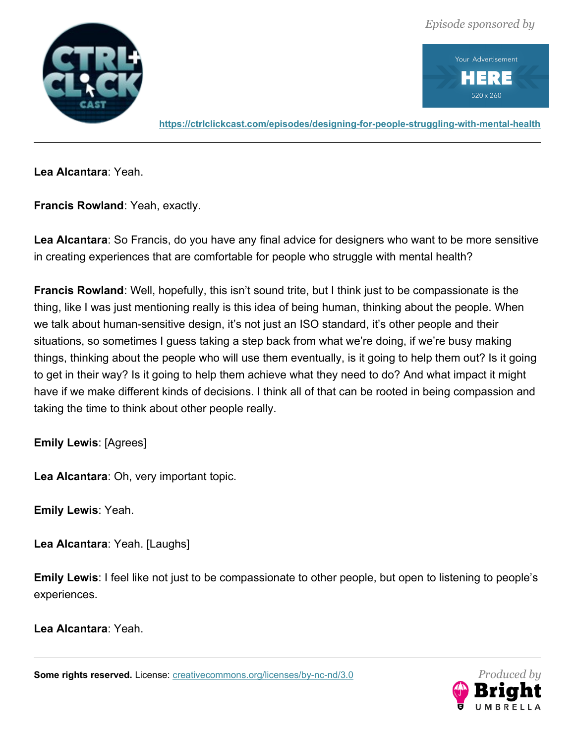

Your Advertisement P) Ξ 520 x 260

**<https://ctrlclickcast.com/episodes/designing-for-people-struggling-with-mental-health>**

**Lea Alcantara**: Yeah.

**Francis Rowland**: Yeah, exactly.

**Lea Alcantara**: So Francis, do you have any final advice for designers who want to be more sensitive in creating experiences that are comfortable for people who struggle with mental health?

**Francis Rowland**: Well, hopefully, this isn't sound trite, but I think just to be compassionate is the thing, like I was just mentioning really is this idea of being human, thinking about the people. When we talk about human-sensitive design, it's not just an ISO standard, it's other people and their situations, so sometimes I guess taking a step back from what we're doing, if we're busy making things, thinking about the people who will use them eventually, is it going to help them out? Is it going to get in their way? Is it going to help them achieve what they need to do? And what impact it might have if we make different kinds of decisions. I think all of that can be rooted in being compassion and taking the time to think about other people really.

**Emily Lewis**: [Agrees]

**Lea Alcantara**: Oh, very important topic.

**Emily Lewis**: Yeah.

**Lea Alcantara**: Yeah. [Laughs]

**Emily Lewis**: I feel like not just to be compassionate to other people, but open to listening to people's experiences.

**Lea Alcantara**: Yeah.

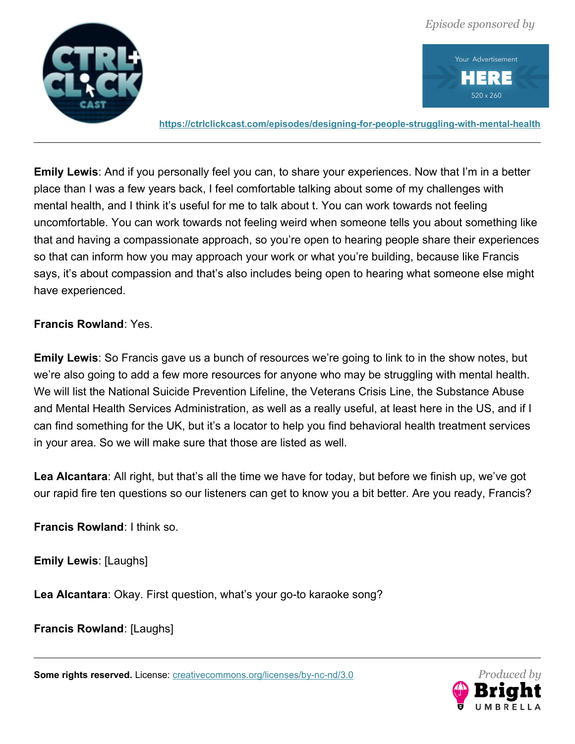



**<https://ctrlclickcast.com/episodes/designing-for-people-struggling-with-mental-health>**

**Emily Lewis**: And if you personally feel you can, to share your experiences. Now that I'm in a better place than I was a few years back, I feel comfortable talking about some of my challenges with mental health, and I think it's useful for me to talk about t. You can work towards not feeling uncomfortable. You can work towards not feeling weird when someone tells you about something like that and having a compassionate approach, so you're open to hearing people share their experiences so that can inform how you may approach your work or what you're building, because like Francis says, it's about compassion and that's also includes being open to hearing what someone else might have experienced.

## **Francis Rowland**: Yes.

**Emily Lewis**: So Francis gave us a bunch of resources we're going to link to in the show notes, but we're also going to add a few more resources for anyone who may be struggling with mental health. We will list the National Suicide Prevention Lifeline, the Veterans Crisis Line, the Substance Abuse and Mental Health Services Administration, as well as a really useful, at least here in the US, and if I can find something for the UK, but it's a locator to help you find behavioral health treatment services in your area. So we will make sure that those are listed as well.

**Lea Alcantara**: All right, but that's all the time we have for today, but before we finish up, we've got our rapid fire ten questions so our listeners can get to know you a bit better. Are you ready, Francis?

**Francis Rowland**: I think so.

**Emily Lewis**: [Laughs]

**Lea Alcantara**: Okay. First question, what's your go-to karaoke song?

**Francis Rowland**: [Laughs]

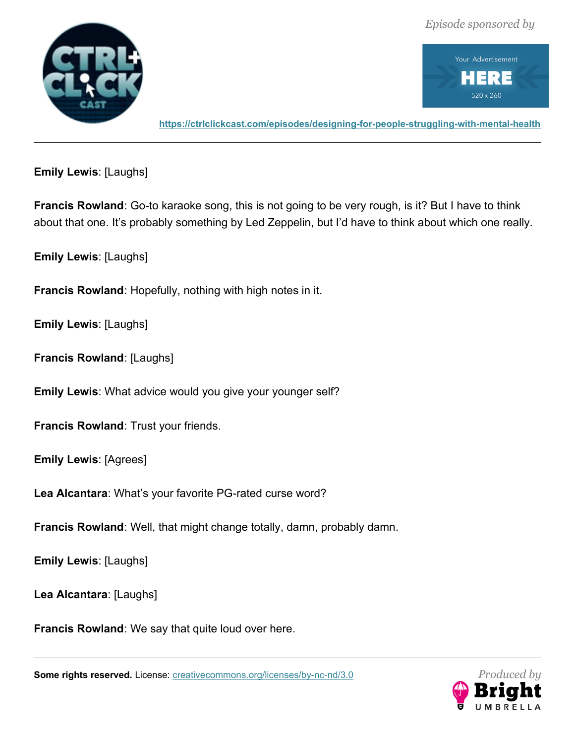



**<https://ctrlclickcast.com/episodes/designing-for-people-struggling-with-mental-health>**

**Emily Lewis**: [Laughs]

**Francis Rowland**: Go-to karaoke song, this is not going to be very rough, is it? But I have to think about that one. It's probably something by Led Zeppelin, but I'd have to think about which one really.

**Emily Lewis**: [Laughs]

**Francis Rowland**: Hopefully, nothing with high notes in it.

**Emily Lewis**: [Laughs]

**Francis Rowland**: [Laughs]

**Emily Lewis**: What advice would you give your younger self?

**Francis Rowland**: Trust your friends.

**Emily Lewis**: [Agrees]

**Lea Alcantara**: What's your favorite PG-rated curse word?

**Francis Rowland**: Well, that might change totally, damn, probably damn.

**Emily Lewis**: [Laughs]

**Lea Alcantara**: [Laughs]

**Francis Rowland**: We say that quite loud over here.

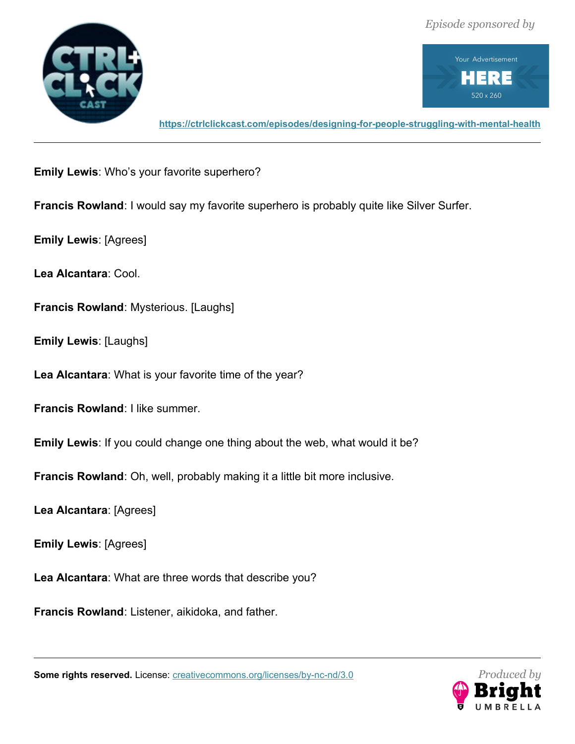



**<https://ctrlclickcast.com/episodes/designing-for-people-struggling-with-mental-health>**

**Emily Lewis**: Who's your favorite superhero?

**Francis Rowland**: I would say my favorite superhero is probably quite like Silver Surfer.

**Emily Lewis**: [Agrees]

**Lea Alcantara**: Cool.

**Francis Rowland**: Mysterious. [Laughs]

**Emily Lewis**: [Laughs]

**Lea Alcantara**: What is your favorite time of the year?

**Francis Rowland**: I like summer.

**Emily Lewis**: If you could change one thing about the web, what would it be?

**Francis Rowland**: Oh, well, probably making it a little bit more inclusive.

**Lea Alcantara**: [Agrees]

**Emily Lewis**: [Agrees]

**Lea Alcantara**: What are three words that describe you?

**Francis Rowland**: Listener, aikidoka, and father.

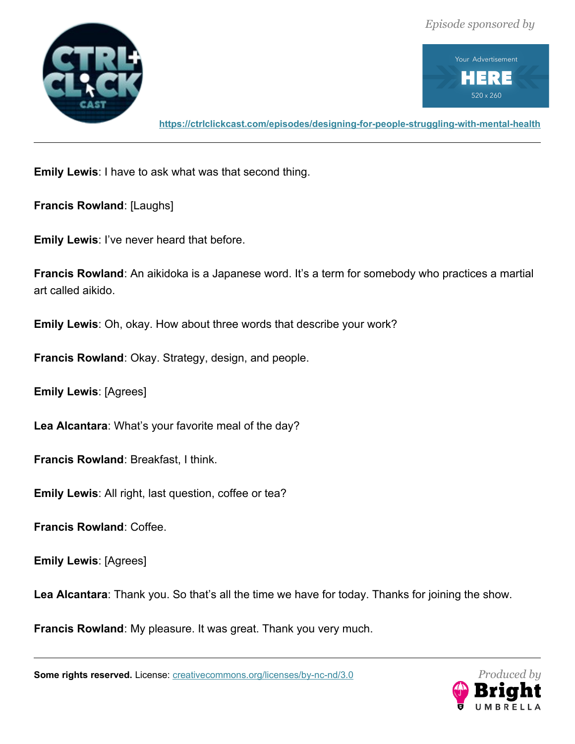



**<https://ctrlclickcast.com/episodes/designing-for-people-struggling-with-mental-health>**

**Emily Lewis**: I have to ask what was that second thing.

**Francis Rowland**: [Laughs]

**Emily Lewis**: I've never heard that before.

**Francis Rowland**: An aikidoka is a Japanese word. It's a term for somebody who practices a martial art called aikido.

**Emily Lewis**: Oh, okay. How about three words that describe your work?

**Francis Rowland**: Okay. Strategy, design, and people.

**Emily Lewis**: [Agrees]

**Lea Alcantara**: What's your favorite meal of the day?

**Francis Rowland**: Breakfast, I think.

**Emily Lewis**: All right, last question, coffee or tea?

**Francis Rowland**: Coffee.

**Emily Lewis**: [Agrees]

Lea Alcantara: Thank you. So that's all the time we have for today. Thanks for joining the show.

**Francis Rowland**: My pleasure. It was great. Thank you very much.

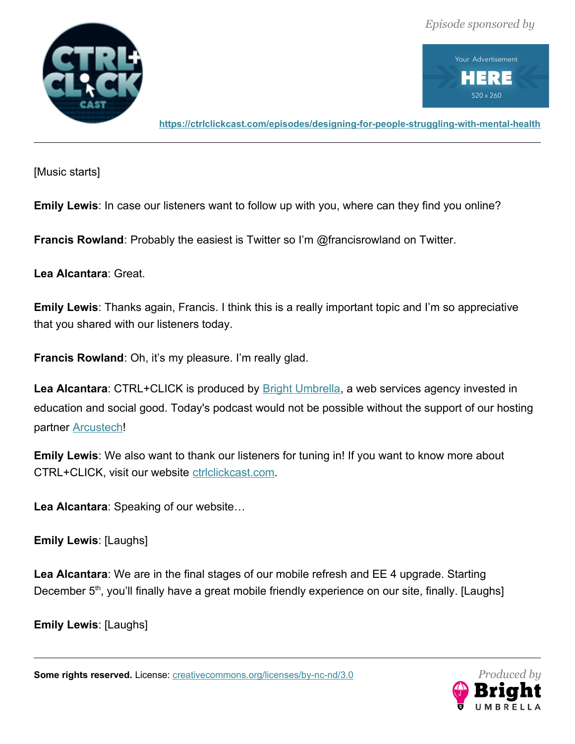

Your Advertisement RE  $520 \times 260$ 

**<https://ctrlclickcast.com/episodes/designing-for-people-struggling-with-mental-health>**

[Music starts]

**Emily Lewis**: In case our listeners want to follow up with you, where can they find you online?

**Francis Rowland**: Probably the easiest is Twitter so I'm @francisrowland on Twitter.

**Lea Alcantara**: Great.

**Emily Lewis**: Thanks again, Francis. I think this is a really important topic and I'm so appreciative that you shared with our listeners today.

**Francis Rowland**: Oh, it's my pleasure. I'm really glad.

Lea Alcantara: CTRL+CLICK is produced by **Bright Umbrella**, a web services agency invested in education and social good. Today's podcast would not be possible without the support of our hosting partner [Arcustech!](http://arcustech.com/)

**Emily Lewis**: We also want to thank our listeners for tuning in! If you want to know more about CTRL+CLICK, visit our website [ctrlclickcast.com.](http://ctrlclickcast.com/)

**Lea Alcantara**: Speaking of our website…

**Emily Lewis**: [Laughs]

**Lea Alcantara**: We are in the final stages of our mobile refresh and EE 4 upgrade. Starting December 5<sup>th</sup>, you'll finally have a great mobile friendly experience on our site, finally. [Laughs]

**Emily Lewis**: [Laughs]